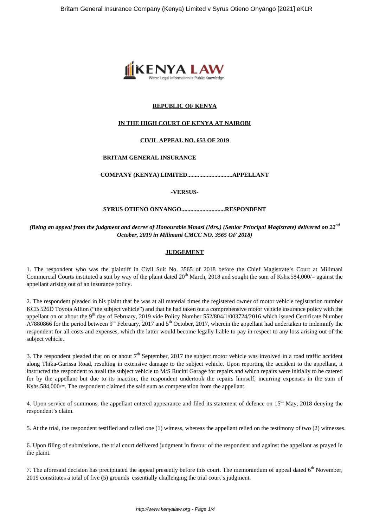

# **REPUBLIC OF KENYA**

#### **IN THE HIGH COURT OF KENYA AT NAIROBI**

#### **CIVIL APPEAL NO. 653 OF 2019**

#### **BRITAM GENERAL INSURANCE**

# **COMPANY (KENYA) LIMITED..............................APPELLANT**

**-VERSUS-**

# **SYRUS OTIENO ONYANGO.............................RESPONDENT**

# *(Being an appeal from the judgment and decree of Honourable Mmasi (Mrs.) (Senior Principal Magistrate) delivered on 22nd October, 2019 in Milimani CMCC NO. 3565 OF 2018)*

## **JUDGEMENT**

1. The respondent who was the plaintiff in Civil Suit No. 3565 of 2018 before the Chief Magistrate's Court at Milimani Commercial Courts instituted a suit by way of the plaint dated  $20^{th}$  March, 2018 and sought the sum of Kshs.584,000/= against the appellant arising out of an insurance policy.

2. The respondent pleaded in his plaint that he was at all material times the registered owner of motor vehicle registration number KCB 526D Toyota Allion ("the subject vehicle") and that he had taken out a comprehensive motor vehicle insurance policy with the appellant on or about the 9<sup>th</sup> day of February, 2019 vide Policy Number 552/804/1/003724/2016 which issued Certificate Number A7880866 for the period between  $9<sup>th</sup>$  February, 2017 and  $5<sup>th</sup>$  October, 2017, wherein the appellant had undertaken to indemnify the respondent for all costs and expenses, which the latter would become legally liable to pay in respect to any loss arising out of the subject vehicle.

3. The respondent pleaded that on or about  $7<sup>th</sup>$  September, 2017 the subject motor vehicle was involved in a road traffic accident along Thika-Garissa Road, resulting in extensive damage to the subject vehicle. Upon reporting the accident to the appellant, it instructed the respondent to avail the subject vehicle to M/S Rucini Garage for repairs and which repairs were initially to be catered for by the appellant but due to its inaction, the respondent undertook the repairs himself, incurring expenses in the sum of Kshs.584,000/=. The respondent claimed the said sum as compensation from the appellant.

4. Upon service of summons, the appellant entered appearance and filed its statement of defence on 15<sup>th</sup> May, 2018 denying the respondent's claim.

5. At the trial, the respondent testified and called one (1) witness, whereas the appellant relied on the testimony of two (2) witnesses.

6. Upon filing of submissions, the trial court delivered judgment in favour of the respondent and against the appellant as prayed in the plaint.

7. The aforesaid decision has precipitated the appeal presently before this court. The memorandum of appeal dated  $6<sup>th</sup>$  November, 2019 constitutes a total of five (5) grounds essentially challenging the trial court's judgment.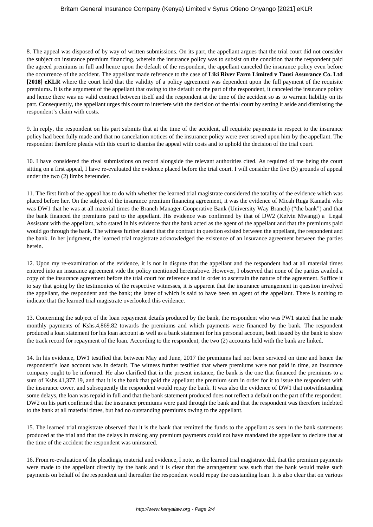## Britam General Insurance Company (Kenya) Limited v Syrus Otieno Onyango [2021] eKLR

8. The appeal was disposed of by way of written submissions. On its part, the appellant argues that the trial court did not consider the subject on insurance premium financing, wherein the insurance policy was to subsist on the condition that the respondent paid the agreed premiums in full and hence upon the default of the respondent, the appellant canceled the insurance policy even before the occurrence of the accident. The appellant made reference to the case of **Liki River Farm Limited v Tausi Assurance Co. Ltd [2018] eKLR** where the court held that the validity of a policy agreement was dependent upon the full payment of the requisite premiums. It is the argument of the appellant that owing to the default on the part of the respondent, it canceled the insurance policy and hence there was no valid contract between itself and the respondent at the time of the accident so as to warrant liability on its part. Consequently, the appellant urges this court to interfere with the decision of the trial court by setting it aside and dismissing the respondent's claim with costs.

9. In reply, the respondent on his part submits that at the time of the accident, all requisite payments in respect to the insurance policy had been fully made and that no cancelation notices of the insurance policy were ever served upon him by the appellant. The respondent therefore pleads with this court to dismiss the appeal with costs and to uphold the decision of the trial court.

10. I have considered the rival submissions on record alongside the relevant authorities cited. As required of me being the court sitting on a first appeal, I have re-evaluated the evidence placed before the trial court. I will consider the five (5) grounds of appeal under the two (2) limbs hereunder.

11. The first limb of the appeal has to do with whether the learned trial magistrate considered the totality of the evidence which was placed before her. On the subject of the insurance premium financing agreement, it was the evidence of Micah Ruga Kamathi who was DW1 that he was at all material times the Branch Manager-Cooperative Bank (University Way Branch) ("the bank") and that the bank financed the premiums paid to the appellant. His evidence was confirmed by that of DW2 (Kelvin Mwangi) a Legal Assistant with the appellant, who stated in his evidence that the bank acted as the agent of the appellant and that the premiums paid would go through the bank. The witness further stated that the contract in question existed between the appellant, the respondent and the bank. In her judgment, the learned trial magistrate acknowledged the existence of an insurance agreement between the parties herein.

12. Upon my re-examination of the evidence, it is not in dispute that the appellant and the respondent had at all material times entered into an insurance agreement vide the policy mentioned hereinabove. However, I observed that none of the parties availed a copy of the insurance agreement before the trial court for reference and in order to ascertain the nature of the agreement. Suffice it to say that going by the testimonies of the respective witnesses, it is apparent that the insurance arrangement in question involved the appellant, the respondent and the bank; the latter of which is said to have been an agent of the appellant. There is nothing to indicate that the learned trial magistrate overlooked this evidence.

13. Concerning the subject of the loan repayment details produced by the bank, the respondent who was PW1 stated that he made monthly payments of Kshs.4,869.82 towards the premiums and which payments were financed by the bank. The respondent produced a loan statement for his loan account as well as a bank statement for his personal account, both issued by the bank to show the track record for repayment of the loan. According to the respondent, the two (2) accounts held with the bank are linked.

14. In his evidence, DW1 testified that between May and June, 2017 the premiums had not been serviced on time and hence the respondent's loan account was in default. The witness further testified that where premiums were not paid in time, an insurance company ought to be informed. He also clarified that in the present instance, the bank is the one that financed the premiums to a sum of Kshs.41,377.19, and that it is the bank that paid the appellant the premium sum in order for it to issue the respondent with the insurance cover, and subsequently the respondent would repay the bank. It was also the evidence of DW1 that notwithstanding some delays, the loan was repaid in full and that the bank statement produced does not reflect a default on the part of the respondent. DW2 on his part confirmed that the insurance premiums were paid through the bank and that the respondent was therefore indebted to the bank at all material times, but had no outstanding premiums owing to the appellant.

15. The learned trial magistrate observed that it is the bank that remitted the funds to the appellant as seen in the bank statements produced at the trial and that the delays in making any premium payments could not have mandated the appellant to declare that at the time of the accident the respondent was uninsured.

16. From re-evaluation of the pleadings, material and evidence, I note, as the learned trial magistrate did, that the premium payments were made to the appellant directly by the bank and it is clear that the arrangement was such that the bank would make such payments on behalf of the respondent and thereafter the respondent would repay the outstanding loan. It is also clear that on various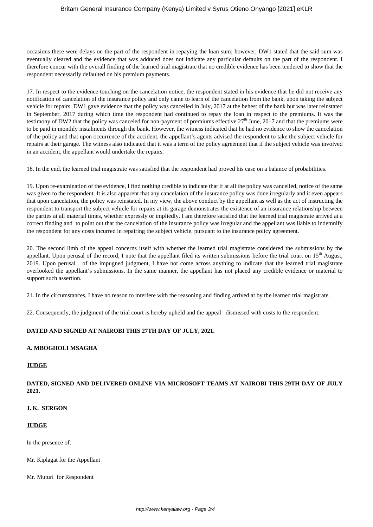occasions there were delays on the part of the respondent in repaying the loan sum; however, DW1 stated that the said sum was eventually cleared and the evidence that was adduced does not indicate any particular defaults on the part of the respondent. I therefore concur with the overall finding of the learned trial magistrate that no credible evidence has been tendered to show that the respondent necessarily defaulted on his premium payments.

17. In respect to the evidence touching on the cancelation notice, the respondent stated in his evidence that he did not receive any notification of cancelation of the insurance policy and only came to learn of the cancelation from the bank, upon taking the subject vehicle for repairs. DW1 gave evidence that the policy was cancelled in July, 2017 at the behest of the bank but was later reinstated in September, 2017 during which time the respondent had continued to repay the loan in respect to the premiums. It was the testimony of DW2 that the policy was canceled for non-payment of premiums effective  $27<sup>th</sup>$  June, 2017 and that the premiums were to be paid in monthly instalments through the bank. However, the witness indicated that he had no evidence to show the cancelation of the policy and that upon occurrence of the accident, the appellant's agents advised the respondent to take the subject vehicle for repairs at their garage. The witness also indicated that it was a term of the policy agreement that if the subject vehicle was involved in an accident, the appellant would undertake the repairs.

18. In the end, the learned trial magistrate was satisfied that the respondent had proved his case on a balance of probabilities.

19. Upon re-examination of the evidence, I find nothing credible to indicate that if at all the policy was cancelled, notice of the same was given to the respondent. It is also apparent that any cancelation of the insurance policy was done irregularly and it even appears that upon cancelation, the policy was reinstated. In my view, the above conduct by the appellant as well as the act of instructing the respondent to transport the subject vehicle for repairs at its garage demonstrates the existence of an insurance relationship between the parties at all material times, whether expressly or impliedly. I am therefore satisfied that the learned trial magistrate arrived at a correct finding and to point out that the cancelation of the insurance policy was irregular and the appellant was liable to indemnify the respondent for any costs incurred in repairing the subject vehicle, pursuant to the insurance policy agreement.

20. The second limb of the appeal concerns itself with whether the learned trial magistrate considered the submissions by the appellant. Upon perusal of the record, I note that the appellant filed its written submissions before the trial court on  $15<sup>th</sup>$  August, 2019. Upon perusal of the impugned judgment, I have not come across anything to indicate that the learned trial magistrate overlooked the appellant's submissions. In the same manner, the appellant has not placed any credible evidence or material to support such assertion.

21. In the circumstances, I have no reason to interfere with the reasoning and finding arrived at by the learned trial magistrate.

22. Consequently, the judgment of the trial court is hereby upheld and the appeal dismissed with costs to the respondent.

# **DATED AND SIGNED AT NAIROBI THIS 27TH DAY OF JULY, 2021.**

### **A. MBOGHOLI MSAGHA**

## **JUDGE**

#### **DATED, SIGNED AND DELIVERED ONLINE VIA MICROSOFT TEAMS AT NAIROBI THIS 29TH DAY OF JULY 2021.**

## **J. K. SERGON**

#### **JUDGE**

In the presence of:

Mr. Kiplagat for the Appellant

Mr. Muturi for Respondent